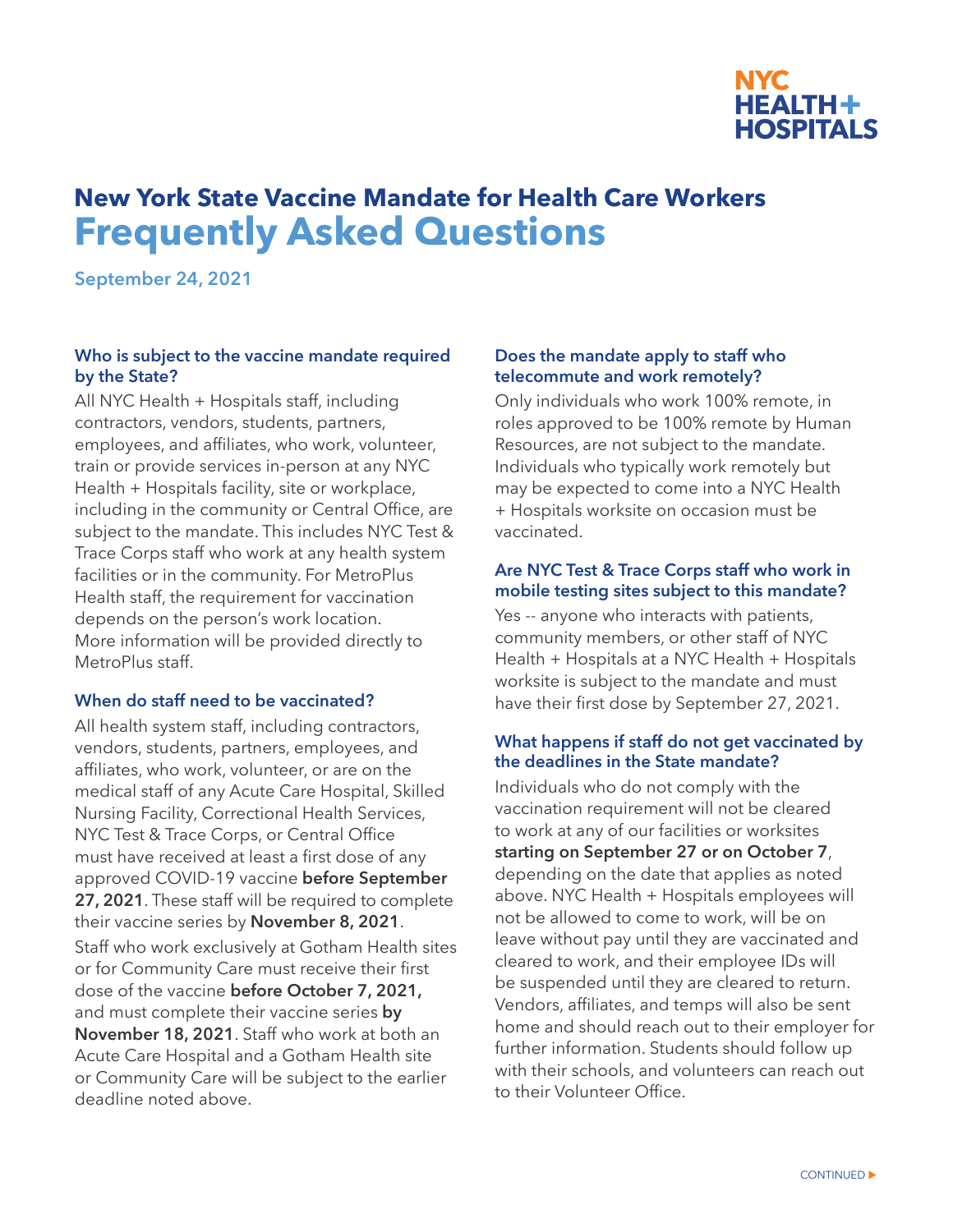

# **New York State Vaccine Mandate for Health Care Workers Frequently Asked Questions**

**September 24, 2021**

## **Who is subject to the vaccine mandate required by the State?**

All NYC Health + Hospitals staff, including contractors, vendors, students, partners, employees, and affiliates, who work, volunteer, train or provide services in-person at any NYC Health + Hospitals facility, site or workplace, including in the community or Central Office, are subject to the mandate. This includes NYC Test & Trace Corps staff who work at any health system facilities or in the community. For MetroPlus Health staff, the requirement for vaccination depends on the person's work location. More information will be provided directly to MetroPlus staff.

## **When do staff need to be vaccinated?**

All health system staff, including contractors, vendors, students, partners, employees, and affiliates, who work, volunteer, or are on the medical staff of any Acute Care Hospital, Skilled Nursing Facility, Correctional Health Services, NYC Test & Trace Corps, or Central Office must have received at least a first dose of any approved COVID-19 vaccine **before September 27, 2021**. These staff will be required to complete their vaccine series by **November 8, 2021**. Staff who work exclusively at Gotham Health sites or for Community Care must receive their first dose of the vaccine **before October 7, 2021,**  and must complete their vaccine series **by November 18, 2021**. Staff who work at both an Acute Care Hospital and a Gotham Health site or Community Care will be subject to the earlier deadline noted above.

#### **Does the mandate apply to staff who telecommute and work remotely?**

Only individuals who work 100% remote, in roles approved to be 100% remote by Human Resources, are not subject to the mandate. Individuals who typically work remotely but may be expected to come into a NYC Health + Hospitals worksite on occasion must be vaccinated.

#### **Are NYC Test & Trace Corps staff who work in mobile testing sites subject to this mandate?**

Yes -- anyone who interacts with patients, community members, or other staff of NYC Health + Hospitals at a NYC Health + Hospitals worksite is subject to the mandate and must have their first dose by September 27, 2021.

#### **What happens if staff do not get vaccinated by the deadlines in the State mandate?**

Individuals who do not comply with the vaccination requirement will not be cleared to work at any of our facilities or worksites **starting on September 27 or on October 7**, depending on the date that applies as noted above. NYC Health + Hospitals employees will not be allowed to come to work, will be on leave without pay until they are vaccinated and cleared to work, and their employee IDs will be suspended until they are cleared to return. Vendors, affiliates, and temps will also be sent home and should reach out to their employer for further information. Students should follow up with their schools, and volunteers can reach out to their Volunteer Office.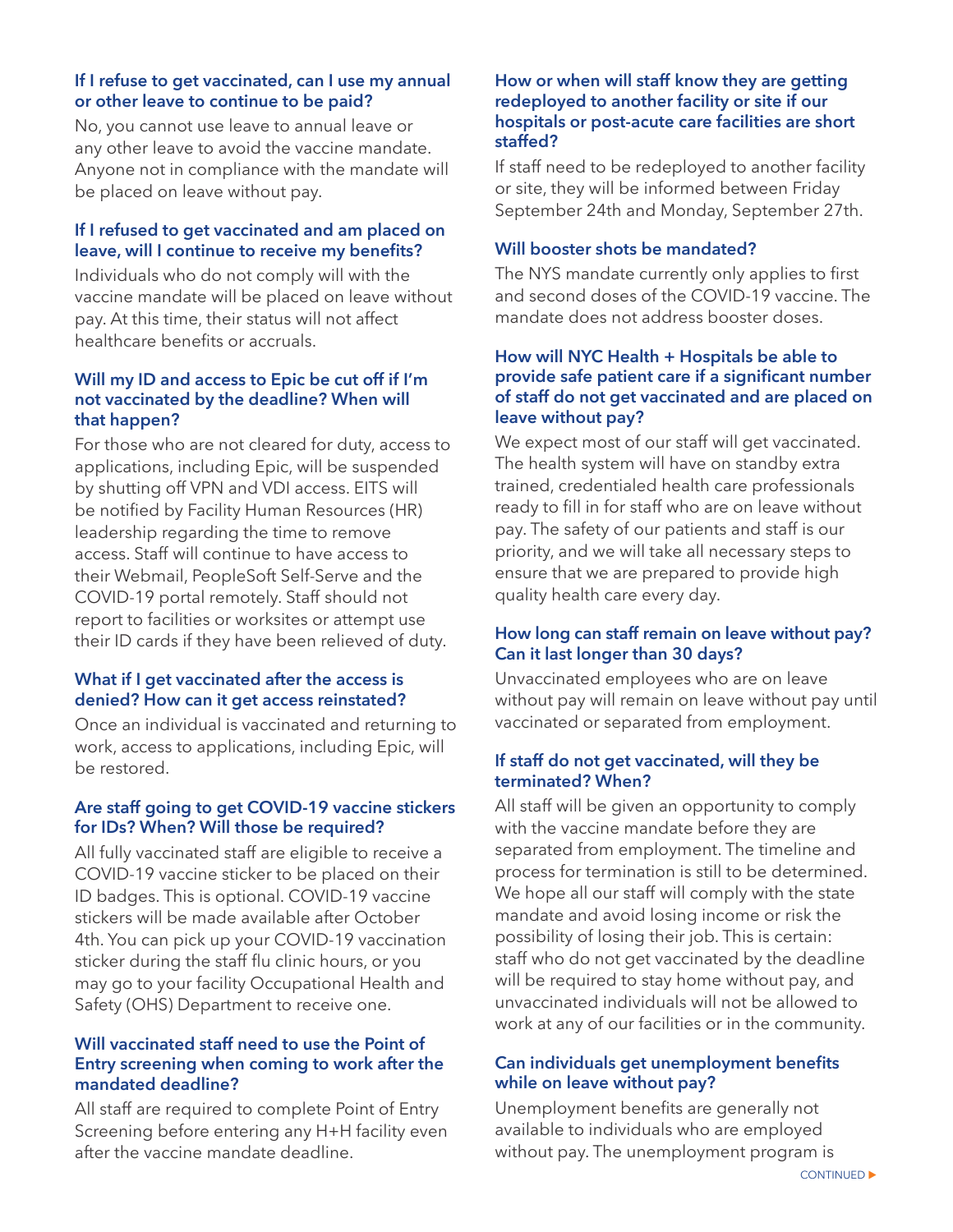## **If I refuse to get vaccinated, can I use my annual or other leave to continue to be paid?**

No, you cannot use leave to annual leave or any other leave to avoid the vaccine mandate. Anyone not in compliance with the mandate will be placed on leave without pay.

# **If I refused to get vaccinated and am placed on leave, will I continue to receive my benefits?**

Individuals who do not comply will with the vaccine mandate will be placed on leave without pay. At this time, their status will not affect healthcare benefits or accruals.

#### **Will my ID and access to Epic be cut off if I'm not vaccinated by the deadline? When will that happen?**

For those who are not cleared for duty, access to applications, including Epic, will be suspended by shutting off VPN and VDI access. EITS will be notified by Facility Human Resources (HR) leadership regarding the time to remove access. Staff will continue to have access to their Webmail, PeopleSoft Self-Serve and the COVID-19 portal remotely. Staff should not report to facilities or worksites or attempt use their ID cards if they have been relieved of duty.

# **What if I get vaccinated after the access is denied? How can it get access reinstated?**

Once an individual is vaccinated and returning to work, access to applications, including Epic, will be restored.

## **Are staff going to get COVID-19 vaccine stickers for IDs? When? Will those be required?**

All fully vaccinated staff are eligible to receive a COVID-19 vaccine sticker to be placed on their ID badges. This is optional. COVID-19 vaccine stickers will be made available after October 4th. You can pick up your COVID-19 vaccination sticker during the staff flu clinic hours, or you may go to your facility Occupational Health and Safety (OHS) Department to receive one.

## **Will vaccinated staff need to use the Point of Entry screening when coming to work after the mandated deadline?**

All staff are required to complete Point of Entry Screening before entering any H+H facility even after the vaccine mandate deadline.

#### **How or when will staff know they are getting redeployed to another facility or site if our hospitals or post-acute care facilities are short staffed?**

If staff need to be redeployed to another facility or site, they will be informed between Friday September 24th and Monday, September 27th.

# **Will booster shots be mandated?**

The NYS mandate currently only applies to first and second doses of the COVID-19 vaccine. The mandate does not address booster doses.

## **How will NYC Health + Hospitals be able to provide safe patient care if a significant number of staff do not get vaccinated and are placed on leave without pay?**

We expect most of our staff will get vaccinated. The health system will have on standby extra trained, credentialed health care professionals ready to fill in for staff who are on leave without pay. The safety of our patients and staff is our priority, and we will take all necessary steps to ensure that we are prepared to provide high quality health care every day.

# **How long can staff remain on leave without pay? Can it last longer than 30 days?**

Unvaccinated employees who are on leave without pay will remain on leave without pay until vaccinated or separated from employment.

# **If staff do not get vaccinated, will they be terminated? When?**

All staff will be given an opportunity to comply with the vaccine mandate before they are separated from employment. The timeline and process for termination is still to be determined. We hope all our staff will comply with the state mandate and avoid losing income or risk the possibility of losing their job. This is certain: staff who do not get vaccinated by the deadline will be required to stay home without pay, and unvaccinated individuals will not be allowed to work at any of our facilities or in the community.

## **Can individuals get unemployment benefits while on leave without pay?**

Unemployment benefits are generally not available to individuals who are employed without pay. The unemployment program is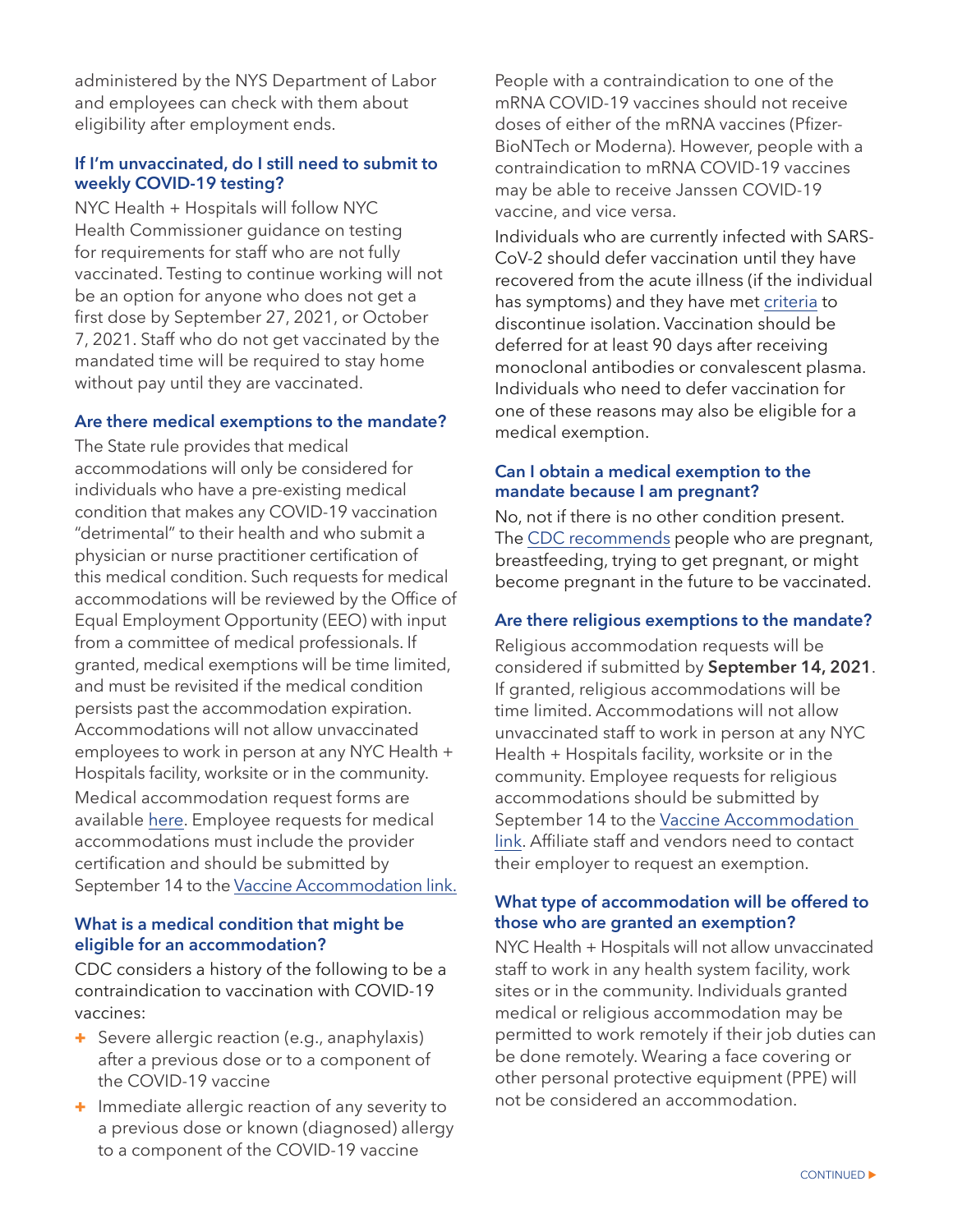administered by the NYS Department of Labor and employees can check with them about eligibility after employment ends.

## **If I'm unvaccinated, do I still need to submit to weekly COVID-19 testing?**

NYC Health + Hospitals will follow NYC Health Commissioner guidance on testing for requirements for staff who are not fully vaccinated. Testing to continue working will not be an option for anyone who does not get a first dose by September 27, 2021, or October 7, 2021. Staff who do not get vaccinated by the mandated time will be required to stay home without pay until they are vaccinated.

## **Are there medical exemptions to the mandate?**

The State rule provides that medical accommodations will only be considered for individuals who have a pre-existing medical condition that makes any COVID-19 vaccination "detrimental" to their health and who submit a physician or nurse practitioner certification of this medical condition. Such requests for medical accommodations will be reviewed by the Office of Equal Employment Opportunity (EEO) with input from a committee of medical professionals. If granted, medical exemptions will be time limited, and must be revisited if the medical condition persists past the accommodation expiration. Accommodations will not allow unvaccinated employees to work in person at any NYC Health + Hospitals facility, worksite or in the community. Medical accommodation request forms are available [here](https://ess.nychhc.org/uploads/COVID-19-Vaccine-Medical-Exemption-Request.pdf). Employee requests for medical accommodations must include the provider certification and should be submitted by September 14 to the [Vaccine Accommodation link.](https://covid19.nychealthandhospitals.org/AccommodationRequest/)

# **What is a medical condition that might be eligible for an accommodation?**

CDC considers a history of the following to be a contraindication to vaccination with COVID-19 vaccines:

- + Severe allergic reaction (e.g., anaphylaxis) after a previous dose or to a component of the COVID-19 vaccine
- + Immediate allergic reaction of any severity to a previous dose or known (diagnosed) allergy to a component of the COVID-19 vaccine

People with a contraindication to one of the mRNA COVID-19 vaccines should not receive doses of either of the mRNA vaccines (Pfizer-BioNTech or Moderna). However, people with a contraindication to mRNA COVID-19 vaccines may be able to receive Janssen COVID-19 vaccine, and vice versa.

Individuals who are currently infected with SARS-CoV-2 should defer vaccination until they have recovered from the acute illness (if the individual has symptoms) and they have met [criteria](https://www.cdc.gov/coronavirus/2019-ncov/hcp/disposition-in-home-patients.html) to discontinue isolation. Vaccination should be deferred for at least 90 days after receiving monoclonal antibodies or convalescent plasma. Individuals who need to defer vaccination for one of these reasons may also be eligible for a medical exemption.

## **Can I obtain a medical exemption to the mandate because I am pregnant?**

No, not if there is no other condition present. The [CDC recommends](https://www.cdc.gov/coronavirus/2019-ncov/vaccines/recommendations/pregnancy.html) people who are pregnant, breastfeeding, trying to get pregnant, or might become pregnant in the future to be vaccinated.

## **Are there religious exemptions to the mandate?**

Religious accommodation requests will be considered if submitted by **September 14, 2021**. If granted, religious accommodations will be time limited. Accommodations will not allow unvaccinated staff to work in person at any NYC Health + Hospitals facility, worksite or in the community. Employee requests for religious accommodations should be submitted by September 14 to the [Vaccine Accommodation](https://covid19.nychealthandhospitals.org/AccommodationRequest/)  [link.](https://covid19.nychealthandhospitals.org/AccommodationRequest/) Affiliate staff and vendors need to contact their employer to request an exemption.

# **What type of accommodation will be offered to those who are granted an exemption?**

NYC Health + Hospitals will not allow unvaccinated staff to work in any health system facility, work sites or in the community. Individuals granted medical or religious accommodation may be permitted to work remotely if their job duties can be done remotely. Wearing a face covering or other personal protective equipment (PPE) will not be considered an accommodation.